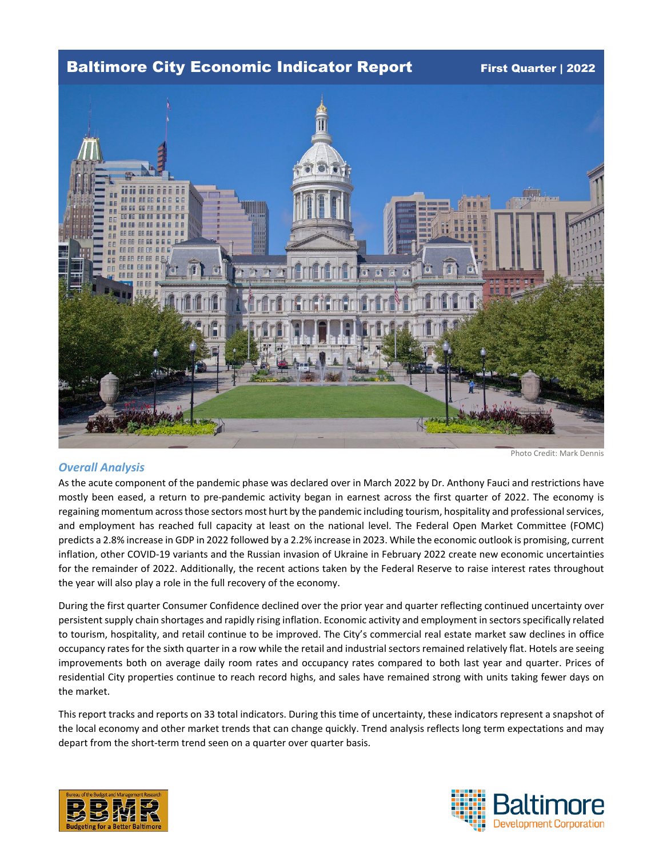## Baltimore City Economic Indicator Report First Quarter | 2022



Photo Credit: Mark Dennis

### *Overall Analysis*

As the acute component of the pandemic phase was declared over in March 2022 by Dr. Anthony Fauci and restrictions have mostly been eased, a return to pre-pandemic activity began in earnest across the first quarter of 2022. The economy is regaining momentum across those sectors most hurt by the pandemic including tourism, hospitality and professional services, and employment has reached full capacity at least on the national level. The Federal Open Market Committee (FOMC) predicts a 2.8% increase in GDP in 2022 followed by a 2.2% increase in 2023. While the economic outlook is promising, current inflation, other COVID-19 variants and the Russian invasion of Ukraine in February 2022 create new economic uncertainties for the remainder of 2022. Additionally, the recent actions taken by the Federal Reserve to raise interest rates throughout the year will also play a role in the full recovery of the economy.

During the first quarter Consumer Confidence declined over the prior year and quarter reflecting continued uncertainty over persistent supply chain shortages and rapidly rising inflation. Economic activity and employment in sectors specifically related to tourism, hospitality, and retail continue to be improved. The City's commercial real estate market saw declines in office occupancy rates for the sixth quarter in a row while the retail and industrial sectorsremained relatively flat. Hotels are seeing improvements both on average daily room rates and occupancy rates compared to both last year and quarter. Prices of residential City properties continue to reach record highs, and sales have remained strong with units taking fewer days on the market.

This report tracks and reports on 33 total indicators. During this time of uncertainty, these indicators represent a snapshot of the local economy and other market trends that can change quickly. Trend analysis reflects long term expectations and may depart from the short-term trend seen on a quarter over quarter basis.



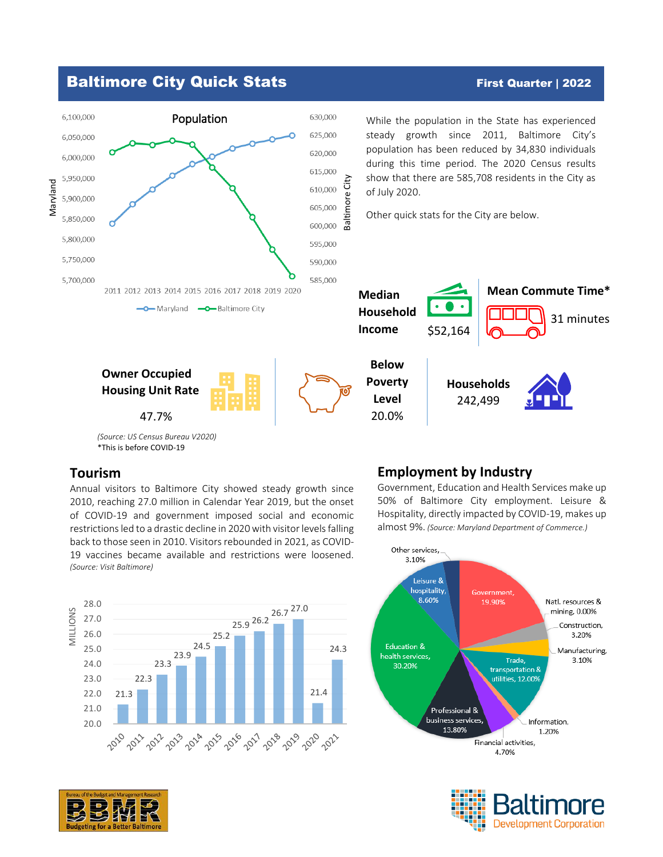

## **Tourism**

Annual visitors to Baltimore City showed steady growth since 2010, reaching 27.0 million in Calendar Year 2019, but the onset of COVID-19 and government imposed social and economic restrictions led to a drastic decline in 2020 with visitor levels falling back to those seen in 2010. Visitors rebounded in 2021, as COVID-19 vaccines became available and restrictions were loosened. *(Source: Visit Baltimore)*



# Government, Education and Health Services make up

**Employment by Industry**

50% of Baltimore City employment. Leisure & Hospitality, directly impacted by COVID-19, makes up almost 9%. *(Source: Maryland Department of Commerce.)*





# Baltimore City Quick Stats First Quarter | 2022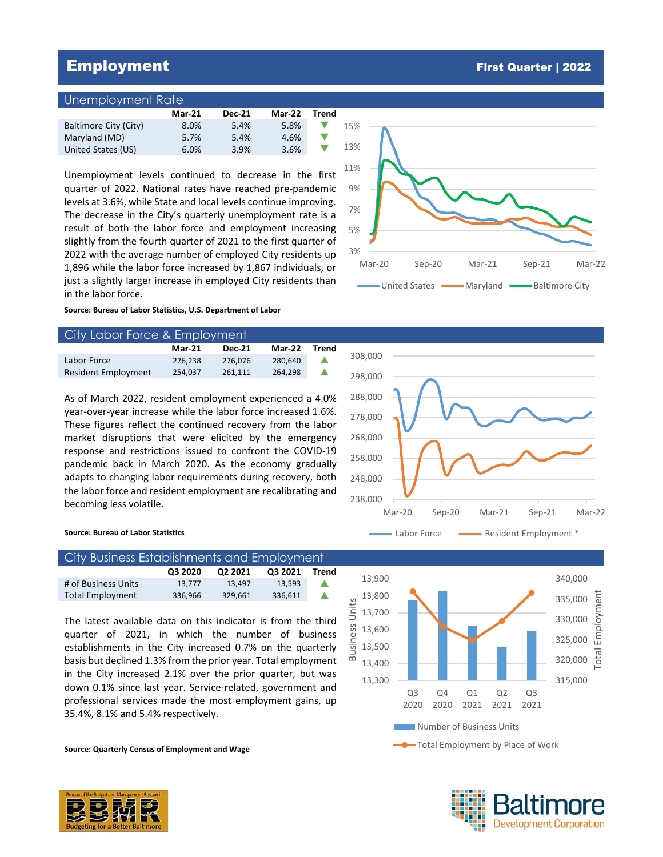## Employment First Quarter | 2022

### Unemployment Rate

|                       | <b>Mar-21</b> | <b>Dec-21</b> | Mar-22 | Trend |  |
|-----------------------|---------------|---------------|--------|-------|--|
| Baltimore City (City) | 8.0%          | 5.4%          | 5.8%   |       |  |
| Maryland (MD)         | 5.7%          | 5.4%          | 4.6%   |       |  |
| United States (US)    | 6.0%          | 3.9%          | 3.6%   |       |  |

Unemployment levels continued to decrease in the first quarter of 2022. National rates have reached pre-pandemic levels at 3.6%, while State and local levels continue improving. The decrease in the City's quarterly unemployment rate is a result of both the labor force and employment increasing slightly from the fourth quarter of 2021 to the first quarter of 2022 with the average number of employed City residents up 1,896 while the labor force increased by 1,867 individuals, or just a slightly larger increase in employed City residents than in the labor force.

3% 5% 7% 9% 11% 13% 15% Mar-20 Sep-20 Mar-21 Sep-21 Mar-22 United States **WARGALES** Maryland Baltimore City

**Source: Bureau of Labor Statistics, U.S. Department of Labor** 

| City Labor Force & Employment |               |               |               |       |    |  |
|-------------------------------|---------------|---------------|---------------|-------|----|--|
|                               | <b>Mar-21</b> | <b>Dec-21</b> | <b>Mar-22</b> | Trend |    |  |
| Labor Force                   | 276.238       | 276.076       | 280.640       |       | 30 |  |
| <b>Resident Employment</b>    | 254.037       | 261.111       | 264.298       |       | 2g |  |

As of March 2022, resident employment experienced a 4.0% year-over-year increase while the labor force increased 1.6%. These figures reflect the continued recovery from the labor market disruptions that were elicited by the emergency response and restrictions issued to confront the COVID-19 pandemic back in March 2020. As the economy gradually adapts to changing labor requirements during recovery, both the labor force and resident employment are recalibrating and becoming less volatile.



### **Source: Bureau of Labor Statistics**

| City Business Establishments and Employment |         |         |         |       |  |  |
|---------------------------------------------|---------|---------|---------|-------|--|--|
|                                             | 03 2020 | 02 2021 | Q3 2021 | Trend |  |  |
| # of Business Units                         | 13.777  | 13.497  | 13.593  |       |  |  |
| <b>Total Employment</b>                     | 336.966 | 329.661 | 336,611 |       |  |  |

The latest available data on this indicator is from the third quarter of 2021, in which the number of business establishments in the City increased 0.7% on the quarterly basis but declined 1.3% from the prior year. Total employment in the City increased 2.1% over the prior quarter, but was down 0.1% since last year. Service-related, government and professional services made the most employment gains, up 35.4%, 8.1% and 5.4% respectively.

**Source: Quarterly Census of Employment and Wage**



Total Employment by Place of Work



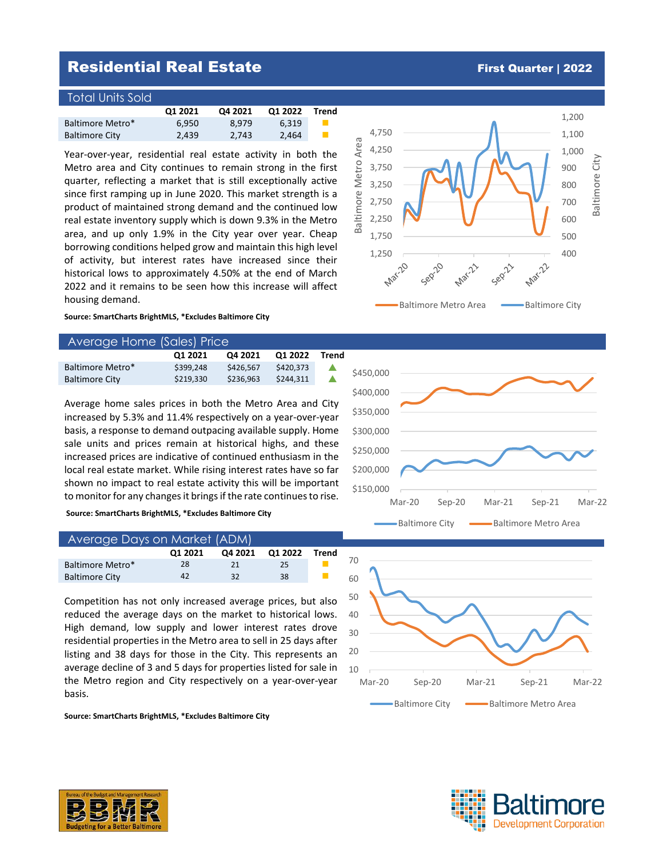## **Residential Real Estate First Quarter | 2022**

### Total Units Sold

|                       | Q1 2021 | Q4 2021 | Q1 2022 | Trend |
|-----------------------|---------|---------|---------|-------|
| Baltimore Metro*      | 6.950   | 8.979   | 6.319   |       |
| <b>Baltimore City</b> | 2.439   | 2.743   | 2.464   |       |

Year-over-year, residential real estate activity in both the Metro area and City continues to remain strong in the first quarter, reflecting a market that is still exceptionally active since first ramping up in June 2020. This market strength is a product of maintained strong demand and the continued low real estate inventory supply which is down 9.3% in the Metro area, and up only 1.9% in the City year over year. Cheap borrowing conditions helped grow and maintain this high level of activity, but interest rates have increased since their historical lows to approximately 4.50% at the end of March 2022 and it remains to be seen how this increase will affect housing demand.

**Source: SmartCharts BrightMLS, \*Excludes Baltimore City**

### Average Home (Sales) Price

|                       | 01 2021   | Q4 2021   | Q1 2022   | Trend |
|-----------------------|-----------|-----------|-----------|-------|
| Baltimore Metro*      | \$399.248 | \$426.567 | \$420.373 |       |
| <b>Baltimore City</b> | \$219.330 | \$236.963 | \$244.311 |       |

Average home sales prices in both the Metro Area and City increased by 5.3% and 11.4% respectively on a year-over-year basis, a response to demand outpacing available supply. Home sale units and prices remain at historical highs, and these increased prices are indicative of continued enthusiasm in the local real estate market. While rising interest rates have so far shown no impact to real estate activity this will be important to monitor for any changes it brings if the rate continuesto rise.

**Source: SmartCharts BrightMLS, \*Excludes Baltimore City**

| Average Days on Market (ADM), |         |         |         |       |  |
|-------------------------------|---------|---------|---------|-------|--|
|                               | Q1 2021 | Q4 2021 | Q1 2022 | Trend |  |
| Baltimore Metro*              | 28      | 21      | 25      |       |  |
| <b>Baltimore City</b>         | 42      | 32      | 38      |       |  |

Competition has not only increased average prices, but also reduced the average days on the market to historical lows. High demand, low supply and lower interest rates drove residential properties in the Metro area to sell in 25 days after listing and 38 days for those in the City. This represents an average decline of 3 and 5 days for properties listed for sale in the Metro region and City respectively on a year-over-year basis.

**Source: SmartCharts BrightMLS, \*Excludes Baltimore City**









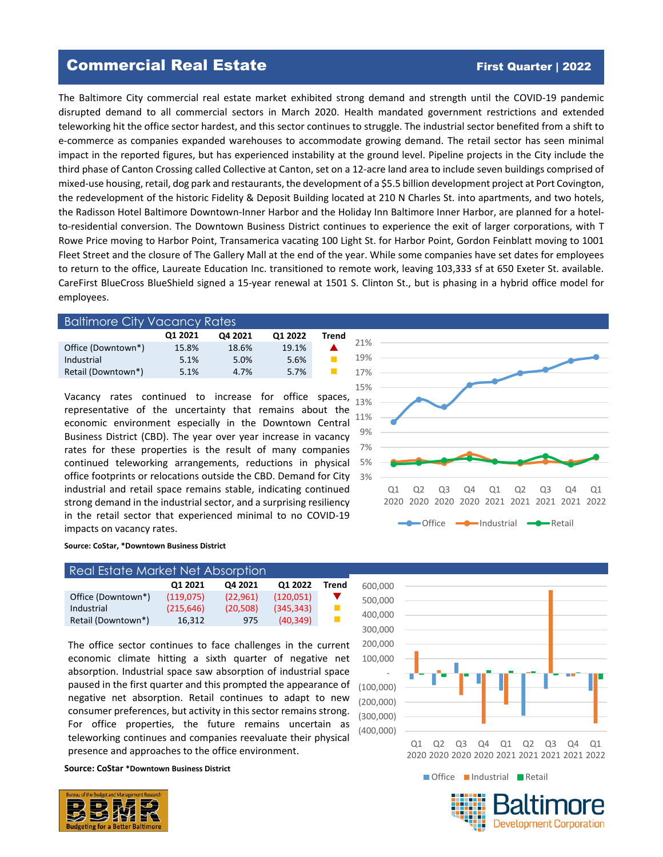## Commercial Real Estate First Quarter | 2022

The Baltimore City commercial real estate market exhibited strong demand and strength until the COVID-19 pandemic disrupted demand to all commercial sectors in March 2020. Health mandated government restrictions and extended teleworking hit the office sector hardest, and this sector continues to struggle. The industrial sector benefited from a shift to e-commerce as companies expanded warehouses to accommodate growing demand. The retail sector has seen minimal impact in the reported figures, but has experienced instability at the ground level. Pipeline projects in the City include the third phase of Canton Crossing called Collective at Canton, set on a 12-acre land area to include seven buildings comprised of mixed-use housing, retail, dog park and restaurants, the development of a \$5.5 billion development project at Port Covington, the redevelopment of the historic Fidelity & Deposit Building located at 210 N Charles St. into apartments, and two hotels, the Radisson Hotel Baltimore Downtown-Inner Harbor and the Holiday Inn Baltimore Inner Harbor, are planned for a hotelto-residential conversion. The Downtown Business District continues to experience the exit of larger corporations, with T Rowe Price moving to Harbor Point, Transamerica vacating 100 Light St. for Harbor Point, Gordon Feinblatt moving to 1001 Fleet Street and the closure of The Gallery Mall at the end of the year. While some companies have set dates for employees to return to the office, Laureate Education Inc. transitioned to remote work, leaving 103,333 sf at 650 Exeter St. available. CareFirst BlueCross BlueShield signed a 15-year renewal at 1501 S. Clinton St., but is phasing in a hybrid office model for employees.

| <b>Baltimore City Vacancy Rates</b> |         |         |         |       |    |  |
|-------------------------------------|---------|---------|---------|-------|----|--|
|                                     | Q1 2021 | Q4 2021 | Q1 2022 | Trend |    |  |
| Office (Downtown*)                  | 15.8%   | 18.6%   | 19.1%   |       |    |  |
| Industrial                          | 5.1%    | 5.0%    | 5.6%    |       | -1 |  |
| Retail (Downtown*)                  | 5.1%    | 4.7%    | 5.7%    |       | 1  |  |
|                                     |         |         |         |       |    |  |

Vacancy rates continued to increase for office spaces, representative of the uncertainty that remains about the economic environment especially in the Downtown Central Business District (CBD). The year over year increase in vacancy rates for these properties is the result of many companies continued teleworking arrangements, reductions in physical office footprints or relocations outside the CBD. Demand for City industrial and retail space remains stable, indicating continued strong demand in the industrial sector, and a surprising resiliency in the retail sector that experienced minimal to no COVID-19 impacts on vacancy rates.



### **Source: CoStar, \*Downtown Business District**

| Real Estate Market Net Absorption |            |          |           |       |  |  |
|-----------------------------------|------------|----------|-----------|-------|--|--|
|                                   | Q1 2021    | Q4 2021  | Q1 2022   | Trend |  |  |
| Office (Downtown*)                | (119.075)  | (22.961) | (120.051) |       |  |  |
| Industrial                        | (215, 646) | (20.508) | (345.343) |       |  |  |
| Retail (Downtown*)                | 16.312     | 975      | (40.349)  |       |  |  |

The office sector continues to face challenges in the current economic climate hitting a sixth quarter of negative net absorption. Industrial space saw absorption of industrial space paused in the first quarter and this prompted the appearance of negative net absorption. Retail continues to adapt to new consumer preferences, but activity in this sector remains strong. For office properties, the future remains uncertain as teleworking continues and companies reevaluate their physical presence and approaches to the office environment.

**Source: CoStar \*Downtown Business District**





**Development Corporation**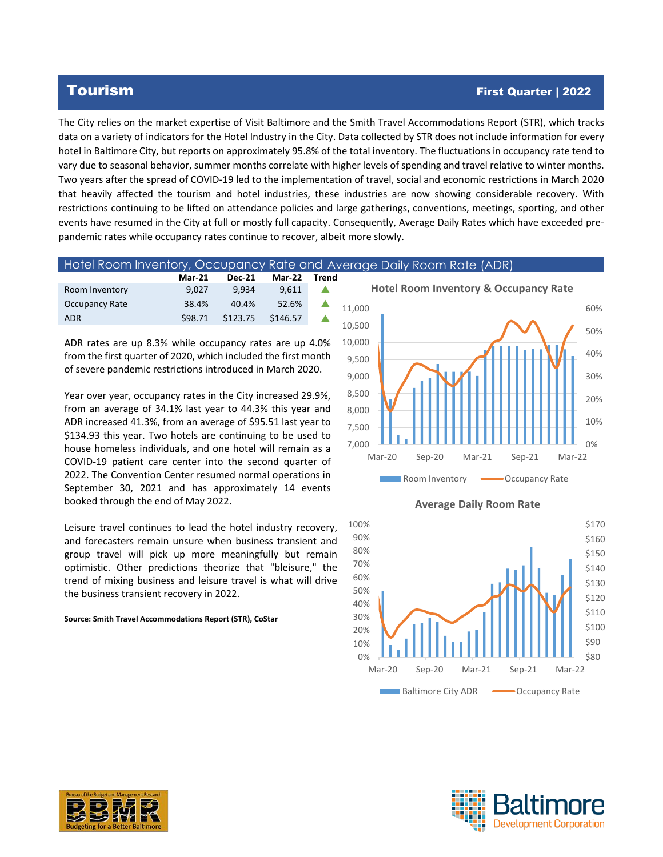## Tourism First Quarter | 2022

The City relies on the market expertise of Visit Baltimore and the Smith Travel Accommodations Report (STR), which tracks data on a variety of indicators for the Hotel Industry in the City. Data collected by STR does not include information for every hotel in Baltimore City, but reports on approximately 95.8% of the total inventory. The fluctuations in occupancy rate tend to vary due to seasonal behavior, summer months correlate with higher levels of spending and travel relative to winter months. Two years after the spread of COVID-19 led to the implementation of travel, social and economic restrictions in March 2020 that heavily affected the tourism and hotel industries, these industries are now showing considerable recovery. With restrictions continuing to be lifted on attendance policies and large gatherings, conventions, meetings, sporting, and other events have resumed in the City at full or mostly full capacity. Consequently, Average Daily Rates which have exceeded prepandemic rates while occupancy rates continue to recover, albeit more slowly.

|                | Hotel Room Inventory, Occupancy Rate and Average Daily Room Rate (ADR) |               |               |       |                                                  |  |  |
|----------------|------------------------------------------------------------------------|---------------|---------------|-------|--------------------------------------------------|--|--|
|                | <b>Mar-21</b>                                                          | <b>Dec-21</b> | <b>Mar-22</b> | Trend |                                                  |  |  |
| Room Inventory | 9.027                                                                  | 9.934         | 9.611         |       | <b>Hotel Room Inventory &amp; Occupancy Rate</b> |  |  |
| Occupancy Rate | 38.4%                                                                  | 40.4%         | 52.6%         |       | 11.000                                           |  |  |
| <b>ADR</b>     | \$98.71                                                                | \$123.75      | \$146.57      |       |                                                  |  |  |
|                |                                                                        |               |               |       | 10,500                                           |  |  |

ADR rates are up 8.3% while occupancy rates are up 4.0% from the first quarter of 2020, which included the first month of severe pandemic restrictions introduced in March 2020.

Year over year, occupancy rates in the City increased 29.9%, from an average of 34.1% last year to 44.3% this year and ADR increased 41.3%, from an average of \$95.51 last year to \$134.93 this year. Two hotels are continuing to be used to house homeless individuals, and one hotel will remain as a COVID-19 patient care center into the second quarter of 2022. The Convention Center resumed normal operations in September 30, 2021 and has approximately 14 events booked through the end of May 2022.

Leisure travel continues to lead the hotel industry recovery, and forecasters remain unsure when business transient and group travel will pick up more meaningfully but remain optimistic. Other predictions theorize that "bleisure," the trend of mixing business and leisure travel is what will drive the business transient recovery in 2022.

**Source: Smith Travel Accommodations Report (STR), CoStar**









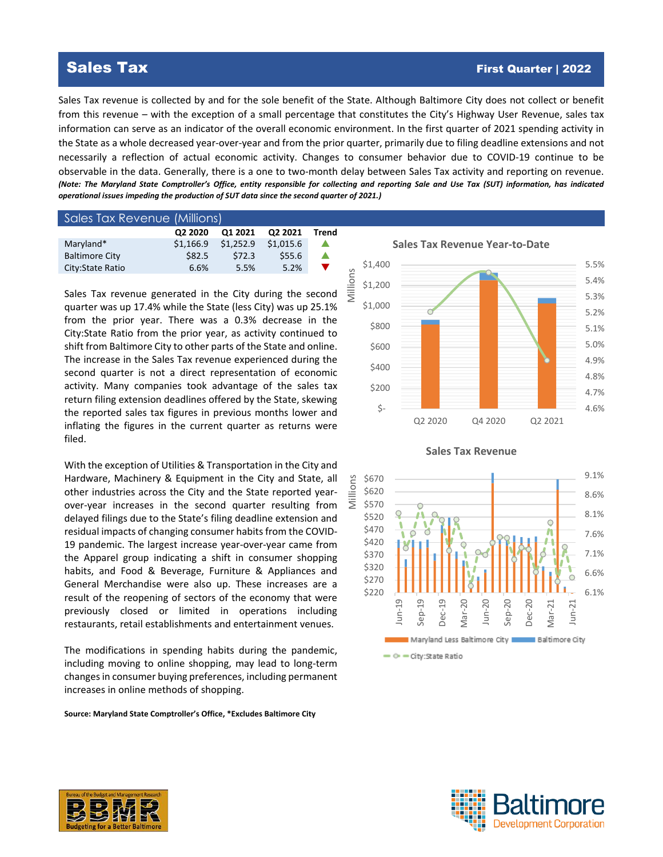## Sales Tax First Quarter | 2022

Sales Tax revenue is collected by and for the sole benefit of the State. Although Baltimore City does not collect or benefit from this revenue – with the exception of a small percentage that constitutes the City's Highway User Revenue, sales tax information can serve as an indicator of the overall economic environment. In the first quarter of 2021 spending activity in the State as a whole decreased year-over-year and from the prior quarter, primarily due to filing deadline extensions and not necessarily a reflection of actual economic activity. Changes to consumer behavior due to COVID-19 continue to be observable in the data. Generally, there is a one to two-month delay between Sales Tax activity and reporting on revenue. *(Note: The Maryland State Comptroller's Office, entity responsible for collecting and reporting Sale and Use Tax (SUT) information, has indicated operational issues impeding the production of SUT data since the second quarter of 2021.)*

| Sales Tax Revenue (Millions) |           |           |           |       |
|------------------------------|-----------|-----------|-----------|-------|
|                              | Q2 2020   | Q1 2021   | Q2 2021   | Trend |
| Maryland*                    | \$1.166.9 | \$1,252.9 | \$1,015.6 | ▲     |
| <b>Baltimore City</b>        | \$82.5    | \$72.3    | \$55.6    | ▲     |
| City: State Ratio            | 6.6%      | 5.5%      | 5.2%      | v     |
|                              |           |           |           |       |

Sales Tax revenue generated in the City during the second quarter was up 17.4% while the State (less City) was up 25.1% from the prior year. There was a 0.3% decrease in the City:State Ratio from the prior year, as activity continued to shift from Baltimore City to other parts of the State and online. The increase in the Sales Tax revenue experienced during the second quarter is not a direct representation of economic activity. Many companies took advantage of the sales tax return filing extension deadlines offered by the State, skewing the reported sales tax figures in previous months lower and inflating the figures in the current quarter as returns were filed.

With the exception of Utilities & Transportation in the City and Hardware, Machinery & Equipment in the City and State, all other industries across the City and the State reported yearover-year increases in the second quarter resulting from delayed filings due to the State's filing deadline extension and residual impacts of changing consumer habits from the COVID-19 pandemic. The largest increase year-over-year came from the Apparel group indicating a shift in consumer shopping habits, and Food & Beverage, Furniture & Appliances and General Merchandise were also up. These increases are a result of the reopening of sectors of the economy that were previously closed or limited in operations including restaurants, retail establishments and entertainment venues.

The modifications in spending habits during the pandemic, including moving to online shopping, may lead to long-term changes in consumer buying preferences, including permanent increases in online methods of shopping.

**Source: Maryland State Comptroller's Office, \*Excludes Baltimore City**

4.6% 4.7% 4.8% 4.9% 5.0% 5.1% 5.2% 5.3% 5.4% 5.5% \$- \$200 \$400 \$600 \$800 \$1,000 \$1,200 \$1,400 Q2 2020 Q4 2020 Q2 2021 Millions

**Sales Tax Revenue Year-to-Date**





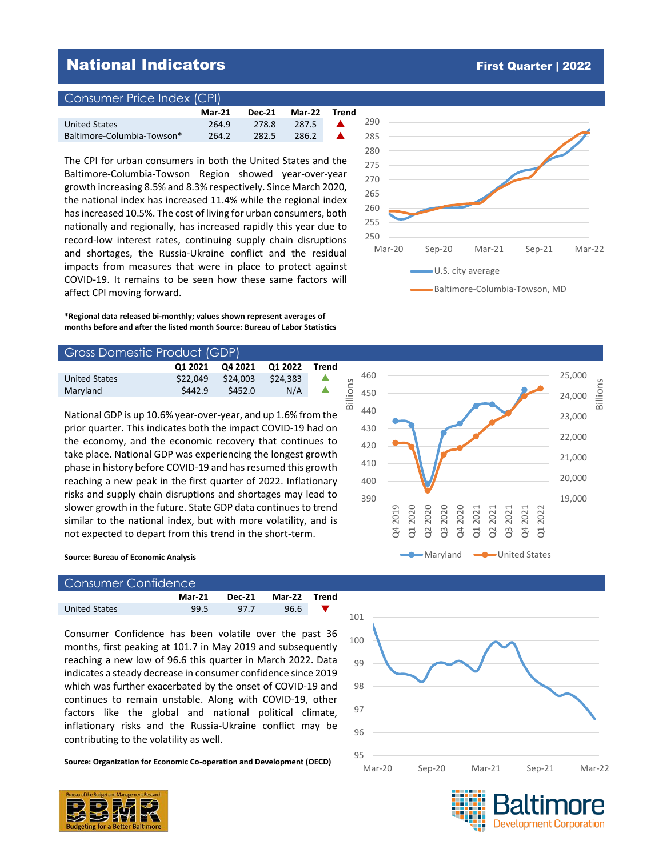## **National Indicators First Quarter | 2022**

### Consumer Price Index (CPI)

'

|                            | <b>Mar-21</b> | <b>Dec-21</b> | <b>Mar-22</b> | Trend |
|----------------------------|---------------|---------------|---------------|-------|
| <b>United States</b>       | 264.9         | 278.8         | 287.5         |       |
| Baltimore-Columbia-Towson* | 264.2         | 282.5         | 286.2         |       |

The CPI for urban consumers in both the United States and the Baltimore-Columbia-Towson Region showed year-over-year growth increasing 8.5% and 8.3% respectively. Since March 2020, the national index has increased 11.4% while the regional index has increased 10.5%. The cost of living for urban consumers, both nationally and regionally, has increased rapidly this year due to record-low interest rates, continuing supply chain disruptions and shortages, the Russia-Ukraine conflict and the residual impacts from measures that were in place to protect against COVID-19. It remains to be seen how these same factors will affect CPI moving forward.

**\*Regional data released bi-monthly; values shown represent averages of months before and after the listed month Source: Bureau of Labor Statistics**

| Gross Domestic Product (GDP) |          |          |          |       |         |  |
|------------------------------|----------|----------|----------|-------|---------|--|
|                              | 01 2021  | O4 2021  | O1 2022  | Trend |         |  |
| <b>United States</b>         | \$22.049 | \$24.003 | \$24,383 |       | $\circ$ |  |
| Maryland                     | \$442.9  | \$452.0  | N/A      |       | S       |  |
|                              |          |          |          |       | ≘<br>മ  |  |

National GDP is up 10.6% year-over-year, and up 1.6% from the prior quarter. This indicates both the impact COVID-19 had on the economy, and the economic recovery that continues to take place. National GDP was experiencing the longest growth phase in history before COVID-19 and has resumed this growth reaching a new peak in the first quarter of 2022. Inflationary risks and supply chain disruptions and shortages may lead to slower growth in the future. State GDP data continues to trend similar to the national index, but with more volatility, and is not expected to depart from this trend in the short-term.

### **Source: Bureau of Economic Analysis**

| Consumer Confidence  |               |        |              |  |  |  |  |
|----------------------|---------------|--------|--------------|--|--|--|--|
|                      | <b>Mar-21</b> | Dec-21 | Mar-22 Trend |  |  |  |  |
| <b>United States</b> | 99.5          | 977    | 96.6         |  |  |  |  |

Consumer Confidence has been volatile over the past 36 months, first peaking at 101.7 in May 2019 and subsequently reaching a new low of 96.6 this quarter in March 2022. Data indicates a steady decrease in consumer confidence since 2019 which was further exacerbated by the onset of COVID-19 and continues to remain unstable. Along with COVID-19, other factors like the global and national political climate, inflationary risks and the Russia-Ukraine conflict may be contributing to the volatility as well.

**Source: Organization for Economic Co-operation and Development (OECD)**



**Development Corporation** 



Baltimore-Columbia-Towson, MD



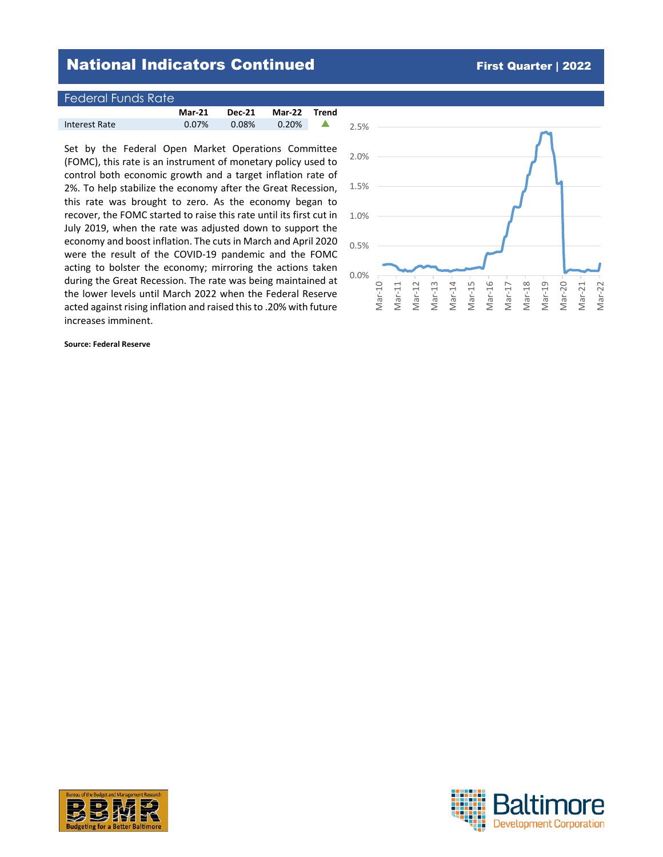## **National Indicators Continued First Quarter | 2022**

| <sub>'</sub> Federal Funds Rate' |               |               |               |       |
|----------------------------------|---------------|---------------|---------------|-------|
|                                  | <b>Mar-21</b> | <b>Dec-21</b> | <b>Mar-22</b> | Trend |
| Interest Rate                    | $0.07\%$      | 0.08%         | $0.20\%$      |       |

Set by the Federal Open Market Operations Committee (FOMC), this rate is an instrument of monetary policy used to control both economic growth and a target inflation rate of 2%. To help stabilize the economy after the Great Recession, this rate was brought to zero. As the economy began to recover, the FOMC started to raise this rate until its first cut in July 2019, when the rate was adjusted down to support the economy and boost inflation. The cuts in March and April 2020 were the result of the COVID-19 pandemic and the FOMC acting to bolster the economy; mirroring the actions taken during the Great Recession. The rate was being maintained at the lower levels until March 2022 when the Federal Reserve acted against rising inflation and raised this to .20% with future increases imminent.

**Source: Federal Reserve**





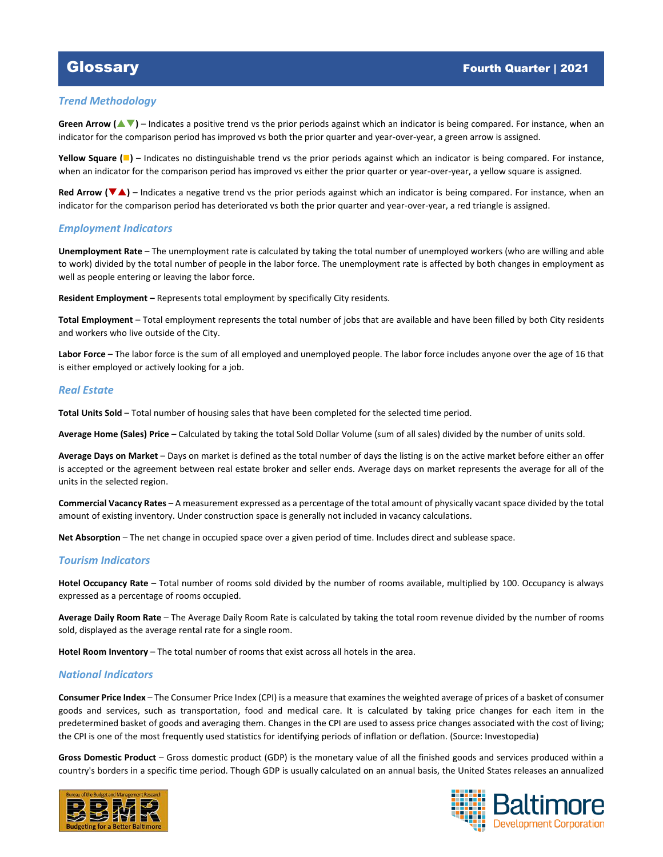### *Trend Methodology*

Green Arrow ( $\blacktriangle$   $\blacktriangledown$ ) – Indicates a positive trend vs the prior periods against which an indicator is being compared. For instance, when an indicator for the comparison period has improved vs both the prior quarter and year-over-year, a green arrow is assigned.

**Yellow Square (■)** – Indicates no distinguishable trend vs the prior periods against which an indicator is being compared. For instance, when an indicator for the comparison period has improved vs either the prior quarter or year-over-year, a yellow square is assigned.

**Red Arrow (<b>▼**A) – Indicates a negative trend vs the prior periods against which an indicator is being compared. For instance, when an indicator for the comparison period has deteriorated vs both the prior quarter and year-over-year, a red triangle is assigned.

### *Employment Indicators*

**Unemployment Rate** – The unemployment rate is calculated by taking the total number of unemployed workers (who are willing and able to work) divided by the total number of people in the labor force. The unemployment rate is affected by both changes in employment as well as people entering or leaving the labor force.

**Resident Employment –** Represents total employment by specifically City residents.

**Total Employment** – Total employment represents the total number of jobs that are available and have been filled by both City residents and workers who live outside of the City.

**Labor Force** – The labor force is the sum of all employed and unemployed people. The labor force includes anyone over the age of 16 that is either employed or actively looking for a job.

### *Real Estate*

**Total Units Sold** – Total number of housing sales that have been completed for the selected time period.

**Average Home (Sales) Price** – Calculated by taking the total Sold Dollar Volume (sum of all sales) divided by the number of units sold.

**Average Days on Market** – Days on market is defined as the total number of days the listing is on the active market before either an offer is accepted or the agreement between real estate broker and seller ends. Average days on market represents the average for all of the units in the selected region.

**Commercial Vacancy Rates** – A measurement expressed as a percentage of the total amount of physically vacant space divided by the total amount of existing inventory. Under construction space is generally not included in vacancy calculations.

**Net Absorption** – The net change in occupied space over a given period of time. Includes direct and sublease space.

### *Tourism Indicators*

**Hotel Occupancy Rate** – Total number of rooms sold divided by the number of rooms available, multiplied by 100. Occupancy is always expressed as a percentage of rooms occupied.

**Average Daily Room Rate** – The Average Daily Room Rate is calculated by taking the total room revenue divided by the number of rooms sold, displayed as the average rental rate for a single room.

**Hotel Room Inventory** – The total number of rooms that exist across all hotels in the area.

### *National Indicators*

**Consumer Price Index** – The Consumer Price Index (CPI) is a measure that examines the weighted average of prices of a basket of consumer goods and services, such as transportation, food and medical care. It is calculated by taking price changes for each item in the predetermined basket of goods and averaging them. Changes in the CPI are used to assess price changes associated with the cost of living; the CPI is one of the most frequently used statistics for identifying periods of inflation or deflation. (Source: Investopedia)

**Gross Domestic Product** – Gross domestic product (GDP) is the monetary value of all the finished goods and services produced within a country's borders in a specific time period. Though GDP is usually calculated on an annual basis, the United States releases an annualized